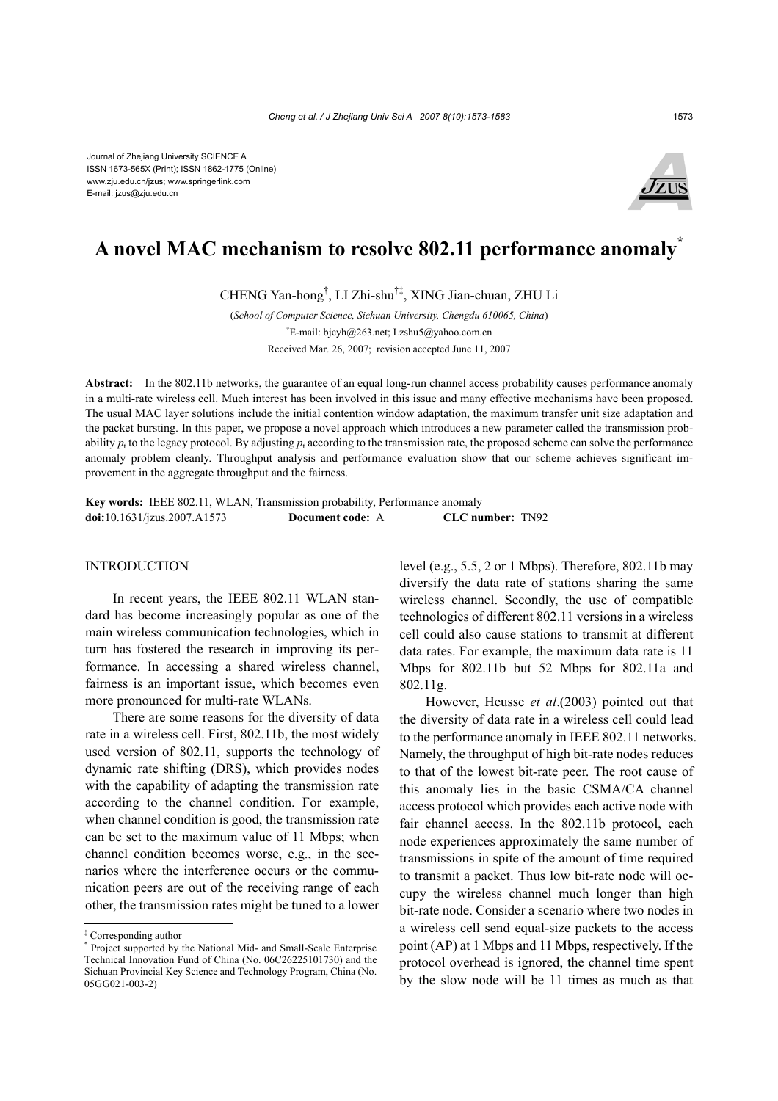Journal of Zhejiang University SCIENCE A ISSN 1673-565X (Print); ISSN 1862-1775 (Online) www.zju.edu.cn/jzus; www.springerlink.com E-mail: jzus@zju.edu.cn



# **A novel MAC mechanism to resolve 802.11 performance anomaly\***

CHENG Yan-hong† , LI Zhi-shu†‡, XING Jian-chuan, ZHU Li

(*School of Computer Science, Sichuan University, Chengdu 610065, China*) † E-mail: bjcyh@263.net; Lzshu5@yahoo.com.cn Received Mar. 26, 2007; revision accepted June 11, 2007

Abstract: In the 802.11b networks, the guarantee of an equal long-run channel access probability causes performance anomaly in a multi-rate wireless cell. Much interest has been involved in this issue and many effective mechanisms have been proposed. The usual MAC layer solutions include the initial contention window adaptation, the maximum transfer unit size adaptation and the packet bursting. In this paper, we propose a novel approach which introduces a new parameter called the transmission probability  $p_t$  to the legacy protocol. By adjusting  $p_t$  according to the transmission rate, the proposed scheme can solve the performance anomaly problem cleanly. Throughput analysis and performance evaluation show that our scheme achieves significant improvement in the aggregate throughput and the fairness.

**Key words:** IEEE 802.11, WLAN, Transmission probability, Performance anomaly **doi:**10.1631/jzus.2007.A1573 **Document code:** A **CLC number:** TN92

## INTRODUCTION

In recent years, the IEEE 802.11 WLAN standard has become increasingly popular as one of the main wireless communication technologies, which in turn has fostered the research in improving its performance. In accessing a shared wireless channel, fairness is an important issue, which becomes even more pronounced for multi-rate WLANs.

There are some reasons for the diversity of data rate in a wireless cell. First, 802.11b, the most widely used version of 802.11, supports the technology of dynamic rate shifting (DRS), which provides nodes with the capability of adapting the transmission rate according to the channel condition. For example, when channel condition is good, the transmission rate can be set to the maximum value of 11 Mbps; when channel condition becomes worse, e.g., in the scenarios where the interference occurs or the communication peers are out of the receiving range of each other, the transmission rates might be tuned to a lower

level (e.g., 5.5, 2 or 1 Mbps). Therefore, 802.11b may diversify the data rate of stations sharing the same wireless channel. Secondly, the use of compatible technologies of different 802.11 versions in a wireless cell could also cause stations to transmit at different data rates. For example, the maximum data rate is 11 Mbps for 802.11b but 52 Mbps for 802.11a and 802.11g.

However, Heusse *et al*.(2003) pointed out that the diversity of data rate in a wireless cell could lead to the performance anomaly in IEEE 802.11 networks. Namely, the throughput of high bit-rate nodes reduces to that of the lowest bit-rate peer. The root cause of this anomaly lies in the basic CSMA/CA channel access protocol which provides each active node with fair channel access. In the 802.11b protocol, each node experiences approximately the same number of transmissions in spite of the amount of time required to transmit a packet. Thus low bit-rate node will occupy the wireless channel much longer than high bit-rate node. Consider a scenario where two nodes in a wireless cell send equal-size packets to the access point (AP) at 1 Mbps and 11 Mbps, respectively. If the protocol overhead is ignored, the channel time spent by the slow node will be 11 times as much as that

<sup>‡</sup> Corresponding author

<sup>\*</sup> Project supported by the National Mid- and Small-Scale Enterprise Technical Innovation Fund of China (No. 06C26225101730) and the Sichuan Provincial Key Science and Technology Program, China (No. 05GG021-003-2)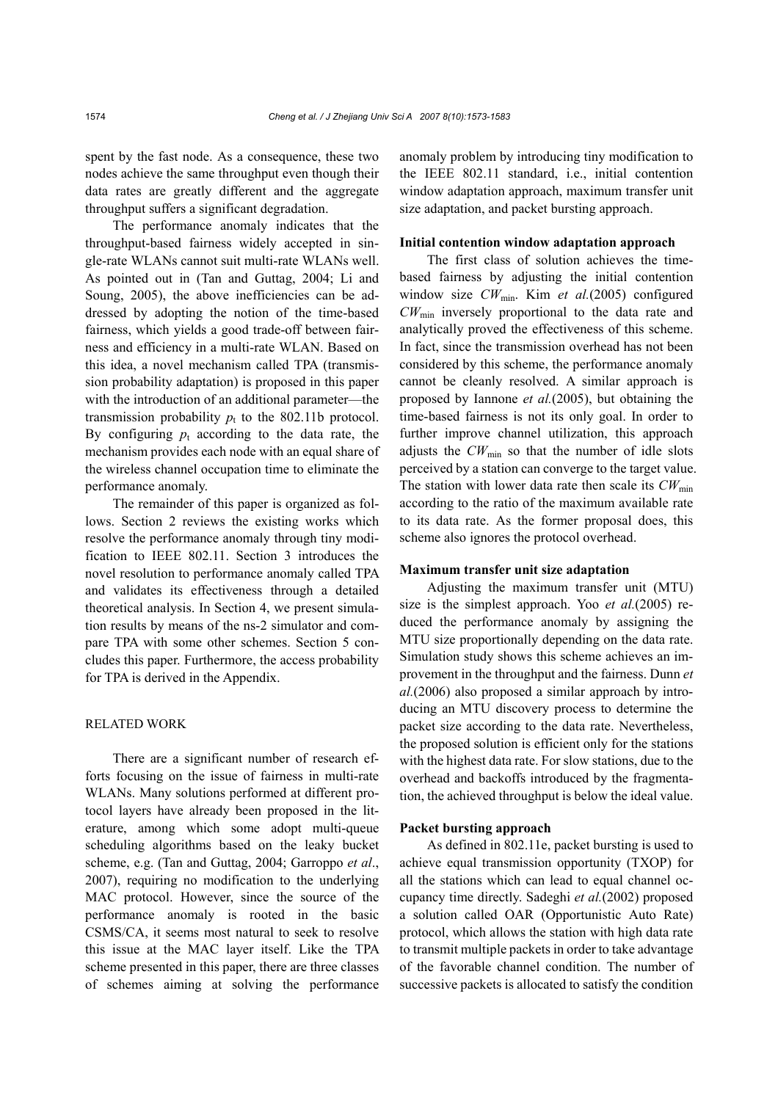spent by the fast node. As a consequence, these two nodes achieve the same throughput even though their data rates are greatly different and the aggregate throughput suffers a significant degradation.

The performance anomaly indicates that the throughput-based fairness widely accepted in single-rate WLANs cannot suit multi-rate WLANs well. As pointed out in (Tan and Guttag, 2004; Li and Soung, 2005), the above inefficiencies can be addressed by adopting the notion of the time-based fairness, which yields a good trade-off between fairness and efficiency in a multi-rate WLAN. Based on this idea, a novel mechanism called TPA (transmission probability adaptation) is proposed in this paper with the introduction of an additional parameter—the transmission probability  $p_t$  to the 802.11b protocol. By configuring  $p_t$  according to the data rate, the mechanism provides each node with an equal share of the wireless channel occupation time to eliminate the performance anomaly.

The remainder of this paper is organized as follows. Section 2 reviews the existing works which resolve the performance anomaly through tiny modification to IEEE 802.11. Section 3 introduces the novel resolution to performance anomaly called TPA and validates its effectiveness through a detailed theoretical analysis. In Section 4, we present simulation results by means of the ns-2 simulator and compare TPA with some other schemes. Section 5 concludes this paper. Furthermore, the access probability for TPA is derived in the Appendix.

## RELATED WORK

There are a significant number of research efforts focusing on the issue of fairness in multi-rate WLANs. Many solutions performed at different protocol layers have already been proposed in the literature, among which some adopt multi-queue scheduling algorithms based on the leaky bucket scheme, e.g. (Tan and Guttag, 2004; Garroppo *et al*., 2007), requiring no modification to the underlying MAC protocol. However, since the source of the performance anomaly is rooted in the basic CSMS/CA, it seems most natural to seek to resolve this issue at the MAC layer itself. Like the TPA scheme presented in this paper, there are three classes of schemes aiming at solving the performance

anomaly problem by introducing tiny modification to the IEEE 802.11 standard, i.e., initial contention window adaptation approach, maximum transfer unit size adaptation, and packet bursting approach.

### **Initial contention window adaptation approach**

The first class of solution achieves the timebased fairness by adjusting the initial contention window size *CW*min. Kim *et al.*(2005) configured *CW*min inversely proportional to the data rate and analytically proved the effectiveness of this scheme. In fact, since the transmission overhead has not been considered by this scheme, the performance anomaly cannot be cleanly resolved. A similar approach is proposed by Iannone *et al.*(2005), but obtaining the time-based fairness is not its only goal. In order to further improve channel utilization, this approach adjusts the  $CW_{min}$  so that the number of idle slots perceived by a station can converge to the target value. The station with lower data rate then scale its  $CW_{\text{min}}$ according to the ratio of the maximum available rate to its data rate. As the former proposal does, this scheme also ignores the protocol overhead.

## **Maximum transfer unit size adaptation**

Adjusting the maximum transfer unit (MTU) size is the simplest approach. Yoo *et al.*(2005) reduced the performance anomaly by assigning the MTU size proportionally depending on the data rate. Simulation study shows this scheme achieves an improvement in the throughput and the fairness. Dunn *et al.*(2006) also proposed a similar approach by introducing an MTU discovery process to determine the packet size according to the data rate. Nevertheless, the proposed solution is efficient only for the stations with the highest data rate. For slow stations, due to the overhead and backoffs introduced by the fragmentation, the achieved throughput is below the ideal value.

#### **Packet bursting approach**

As defined in 802.11e, packet bursting is used to achieve equal transmission opportunity (TXOP) for all the stations which can lead to equal channel occupancy time directly. Sadeghi *et al.*(2002) proposed a solution called OAR (Opportunistic Auto Rate) protocol, which allows the station with high data rate to transmit multiple packets in order to take advantage of the favorable channel condition. The number of successive packets is allocated to satisfy the condition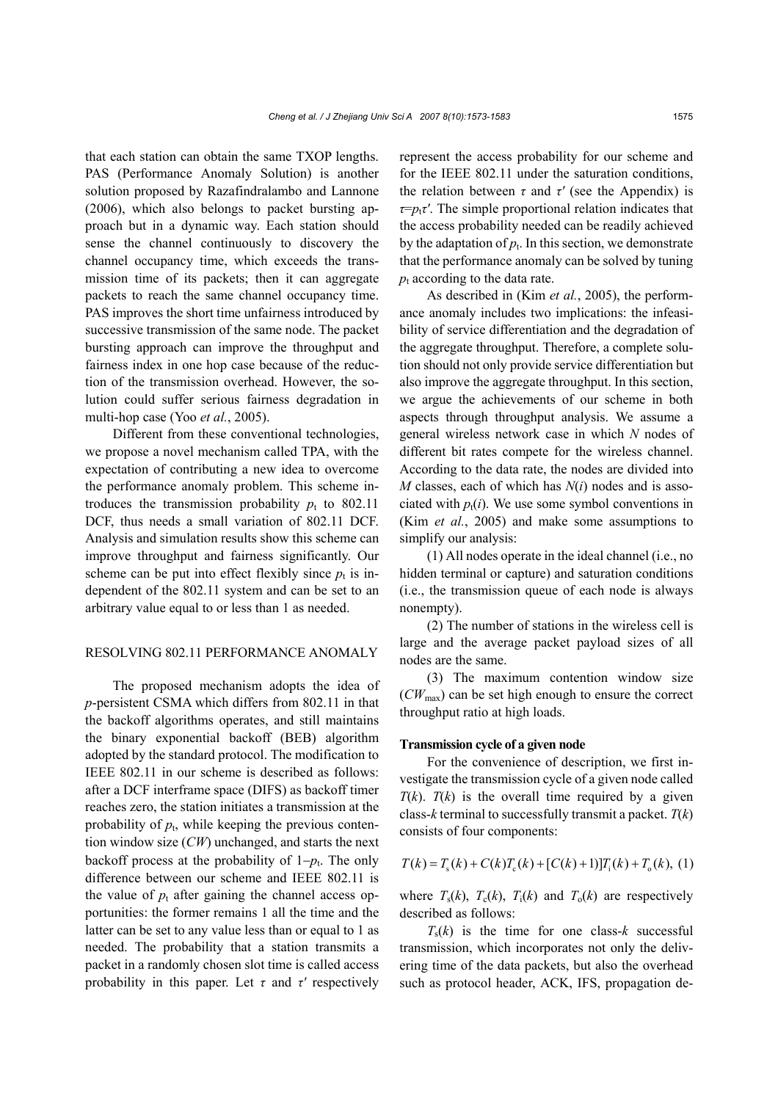that each station can obtain the same TXOP lengths. PAS (Performance Anomaly Solution) is another solution proposed by Razafindralambo and Lannone (2006), which also belongs to packet bursting approach but in a dynamic way. Each station should sense the channel continuously to discovery the channel occupancy time, which exceeds the transmission time of its packets; then it can aggregate packets to reach the same channel occupancy time. PAS improves the short time unfairness introduced by successive transmission of the same node. The packet bursting approach can improve the throughput and fairness index in one hop case because of the reduction of the transmission overhead. However, the solution could suffer serious fairness degradation in multi-hop case (Yoo *et al.*, 2005).

Different from these conventional technologies, we propose a novel mechanism called TPA, with the expectation of contributing a new idea to overcome the performance anomaly problem. This scheme introduces the transmission probability  $p_t$  to 802.11 DCF, thus needs a small variation of 802.11 DCF. Analysis and simulation results show this scheme can improve throughput and fairness significantly. Our scheme can be put into effect flexibly since  $p_t$  is independent of the 802.11 system and can be set to an arbitrary value equal to or less than 1 as needed.

## RESOLVING 802.11 PERFORMANCE ANOMALY

The proposed mechanism adopts the idea of *p*-persistent CSMA which differs from 802.11 in that the backoff algorithms operates, and still maintains the binary exponential backoff (BEB) algorithm adopted by the standard protocol. The modification to IEEE 802.11 in our scheme is described as follows: after a DCF interframe space (DIFS) as backoff timer reaches zero, the station initiates a transmission at the probability of  $p_t$ , while keeping the previous contention window size (*CW*) unchanged, and starts the next backoff process at the probability of  $1-p_t$ . The only difference between our scheme and IEEE 802.11 is the value of  $p_t$  after gaining the channel access opportunities: the former remains 1 all the time and the latter can be set to any value less than or equal to 1 as needed. The probability that a station transmits a packet in a randomly chosen slot time is called access probability in this paper. Let  $\tau$  and  $\tau'$  respectively

represent the access probability for our scheme and for the IEEE 802.11 under the saturation conditions, the relation between  $\tau$  and  $\tau'$  (see the Appendix) is  $\tau = p_t \tau'$ . The simple proportional relation indicates that the access probability needed can be readily achieved by the adaptation of  $p_t$ . In this section, we demonstrate that the performance anomaly can be solved by tuning  $p_t$  according to the data rate.

As described in (Kim *et al.*, 2005), the performance anomaly includes two implications: the infeasibility of service differentiation and the degradation of the aggregate throughput. Therefore, a complete solution should not only provide service differentiation but also improve the aggregate throughput. In this section, we argue the achievements of our scheme in both aspects through throughput analysis. We assume a general wireless network case in which *N* nodes of different bit rates compete for the wireless channel. According to the data rate, the nodes are divided into *M* classes, each of which has *N*(*i*) nodes and is associated with  $p_t(i)$ . We use some symbol conventions in (Kim *et al.*, 2005) and make some assumptions to simplify our analysis:

(1) All nodes operate in the ideal channel (i.e., no hidden terminal or capture) and saturation conditions (i.e., the transmission queue of each node is always nonempty).

(2) The number of stations in the wireless cell is large and the average packet payload sizes of all nodes are the same.

(3) The maximum contention window size (*CW*max) can be set high enough to ensure the correct throughput ratio at high loads.

#### **Transmission cycle of a given node**

For the convenience of description, we first investigate the transmission cycle of a given node called  $T(k)$ .  $T(k)$  is the overall time required by a given class-*k* terminal to successfully transmit a packet. *T*(*k*) consists of four components:

$$
T(k) = T_s(k) + C(k)T_c(k) + [C(k) + 1]T_i(k) + T_o(k), (1)
$$

where  $T_s(k)$ ,  $T_c(k)$ ,  $T_i(k)$  and  $T_o(k)$  are respectively described as follows:

 $T<sub>s</sub>(k)$  is the time for one class- $k$  successful transmission, which incorporates not only the delivering time of the data packets, but also the overhead such as protocol header, ACK, IFS, propagation de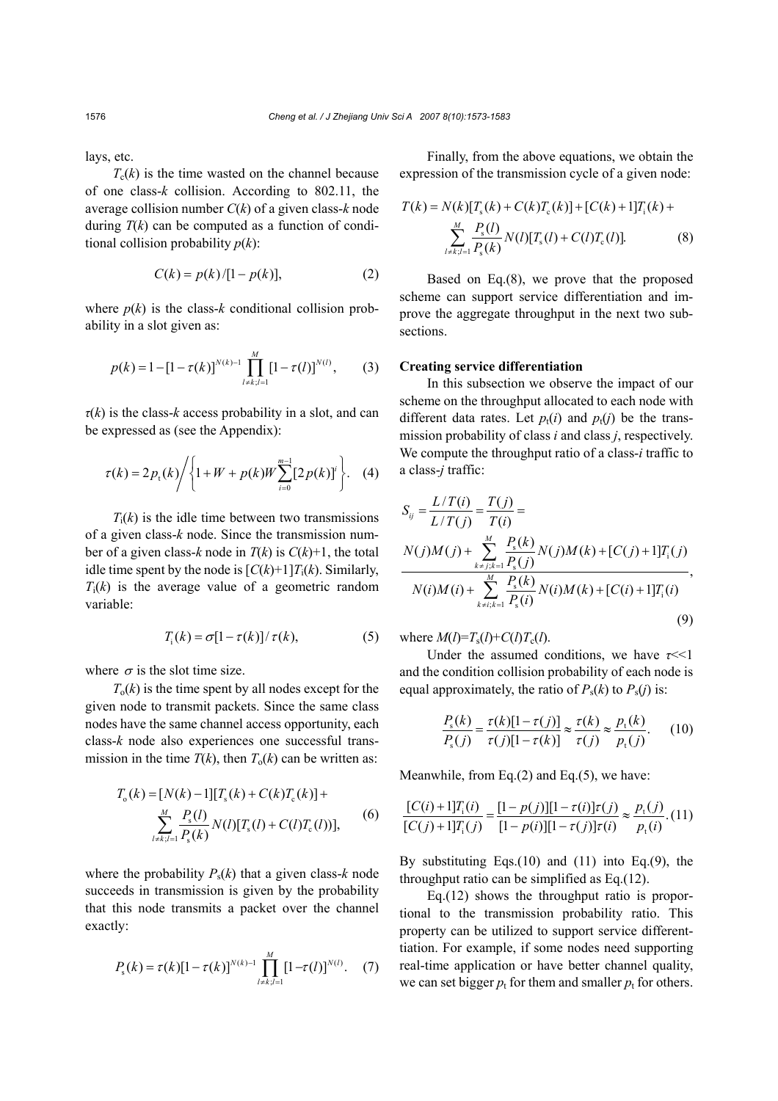lays, etc.

 $T_c(k)$  is the time wasted on the channel because of one class-*k* collision. According to 802.11, the average collision number *C*(*k*) of a given class-*k* node during  $T(k)$  can be computed as a function of conditional collision probability  $p(k)$ :

$$
C(k) = p(k) / [1 - p(k)],
$$
 (2)

where  $p(k)$  is the class- $k$  conditional collision probability in a slot given as:

$$
p(k) = 1 - [1 - \tau(k)]^{N(k)-1} \prod_{l \neq k; l=1}^{M} [1 - \tau(l)]^{N(l)},
$$
 (3)

*τ*(*k*) is the class-*k* access probability in a slot, and can be expressed as (see the Appendix):

$$
\tau(k) = 2 p_t(k) / \left\{ 1 + W + p(k) W \sum_{i=0}^{m-1} [2 p(k)]^i \right\}.
$$
 (4)

 $T_i(k)$  is the idle time between two transmissions of a given class-*k* node. Since the transmission number of a given class-*k* node in  $T(k)$  is  $C(k)+1$ , the total idle time spent by the node is  $[C(k)+1]T_i(k)$ . Similarly,  $T_i(k)$  is the average value of a geometric random variable:

$$
T_i(k) = \sigma[1 - \tau(k)] / \tau(k), \qquad (5)
$$

where  $\sigma$  is the slot time size.

 $T<sub>o</sub>(k)$  is the time spent by all nodes except for the given node to transmit packets. Since the same class nodes have the same channel access opportunity, each class-*k* node also experiences one successful transmission in the time  $T(k)$ , then  $T_0(k)$  can be written as:

$$
T_o(k) = [N(k) - 1][T_s(k) + C(k)T_c(k)] +
$$
  

$$
\sum_{l \neq k; l=1}^{M} \frac{P_s(l)}{P_s(k)} N(l)[T_s(l) + C(l)T_c(l))],
$$
 (6)

where the probability  $P_s(k)$  that a given class-*k* node succeeds in transmission is given by the probability that this node transmits a packet over the channel exactly:

$$
P_{s}(k) = \tau(k)[1 - \tau(k)]^{N(k)-1} \prod_{l \neq k; l=1}^{M} [1 - \tau(l)]^{N(l)}.
$$
 (7)

Finally, from the above equations, we obtain the expression of the transmission cycle of a given node:

$$
T(k) = N(k)[T_s(k) + C(k)T_c(k)] + [C(k) + 1]T_i(k) +
$$
  

$$
\sum_{l \neq k, l=1}^{M} \frac{P_s(l)}{P_s(k)} N(l)[T_s(l) + C(l)T_c(l)].
$$
 (8)

Based on Eq.(8), we prove that the proposed scheme can support service differentiation and improve the aggregate throughput in the next two subsections.

#### **Creating service differentiation**

In this subsection we observe the impact of our scheme on the throughput allocated to each node with different data rates. Let  $p_t(i)$  and  $p_t(j)$  be the transmission probability of class *i* and class *j*, respectively. We compute the throughput ratio of a class-*i* traffic to a class-*j* traffic:

$$
S_{ij} = \frac{L/T(i)}{L/T(j)} = \frac{T(j)}{T(i)} =
$$
  
\n
$$
\frac{N(j)M(j) + \sum_{k=j; k=1}^{M} \frac{P_s(k)}{P_s(j)} N(j)M(k) + [C(j) + 1]T_i(j)}{N(i)M(i) + \sum_{k=i; k=1}^{M} \frac{P_s(k)}{P_s(i)} N(i)M(k) + [C(i) + 1]T_i(i)},
$$
\n(9)

where  $M(l) = T_s(l) + C(l)T_c(l)$ .

Under the assumed conditions, we have  $\tau \ll 1$ and the condition collision probability of each node is equal approximately, the ratio of  $P_s(k)$  to  $P_s(j)$  is:

$$
\frac{P_{\rm s}(k)}{P_{\rm s}(j)} = \frac{\tau(k)[1-\tau(j)]}{\tau(j)[1-\tau(k)]} \approx \frac{\tau(k)}{\tau(j)} \approx \frac{p_{\rm t}(k)}{p_{\rm t}(j)}.\tag{10}
$$

Meanwhile, from Eq.(2) and Eq.(5), we have:

$$
\frac{[C(i) + 1]T_i(i)}{[C(j) + 1]T_i(j)} = \frac{[1 - p(j)][1 - \tau(i)]\tau(j)}{[1 - p(i)][1 - \tau(j)]\tau(i)} \approx \frac{p_i(j)}{p_i(i)} \cdot (11)
$$

By substituting Eqs. $(10)$  and  $(11)$  into Eq. $(9)$ , the throughput ratio can be simplified as Eq.(12).

Eq.(12) shows the throughput ratio is proportional to the transmission probability ratio. This property can be utilized to support service differenttiation. For example, if some nodes need supporting real-time application or have better channel quality, we can set bigger  $p_t$  for them and smaller  $p_t$  for others.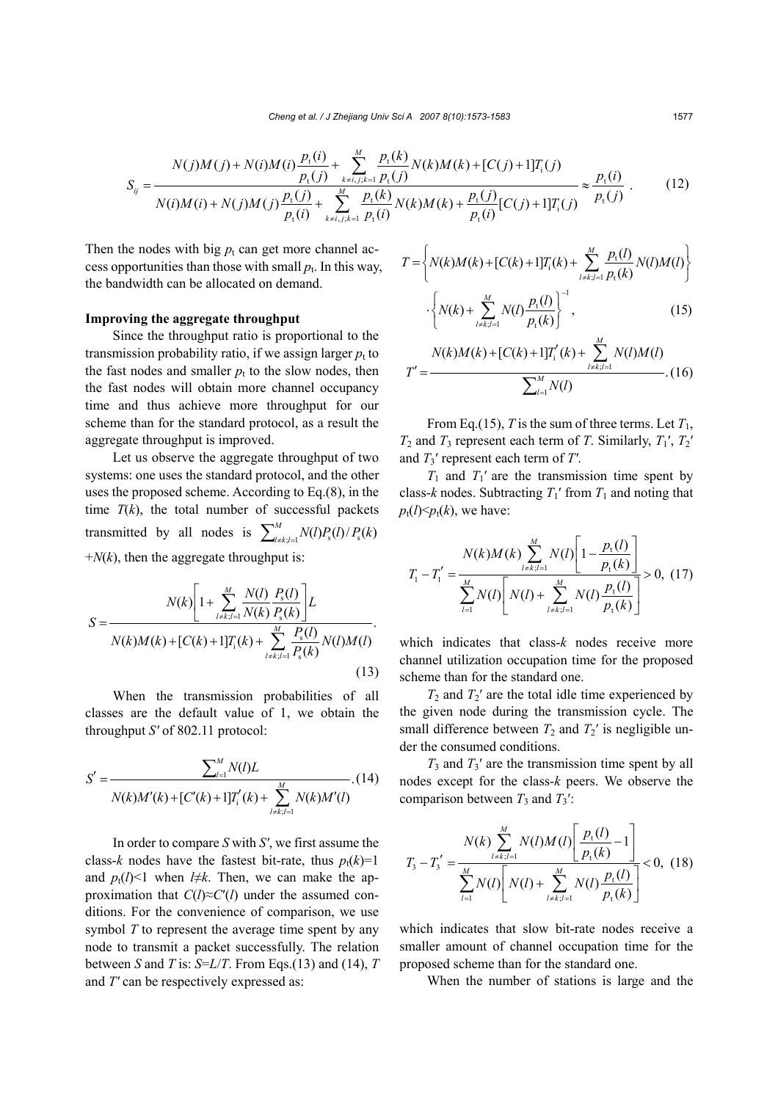$$
S_{ij} = \frac{N(j)M(j) + N(i)M(i)\frac{p_t(i)}{p_t(j)} + \sum_{k \neq i,j;k=1}^{M} \frac{p_t(k)}{p_t(j)}N(k)M(k) + [C(j) + 1]T_i(j)}{N(i)M(i) + N(j)M(j)\frac{p_t(j)}{p_t(i)} + \sum_{k \neq i,j;k=1}^{M} \frac{p_t(k)}{p_t(i)}N(k)M(k) + \frac{p_t(j)}{p_t(i)}[C(j) + 1]T_i(j)} \approx \frac{p_t(i)}{p_t(j)}.
$$
\n(12)

Then the nodes with big  $p_t$  can get more channel access opportunities than those with small  $p_t$ . In this way, the bandwidth can be allocated on demand.

#### **Improving the aggregate throughput**

Since the throughput ratio is proportional to the transmission probability ratio, if we assign larger  $p_t$  to the fast nodes and smaller  $p_t$  to the slow nodes, then the fast nodes will obtain more channel occupancy time and thus achieve more throughput for our scheme than for the standard protocol, as a result the aggregate throughput is improved.

Let us observe the aggregate throughput of two systems: one uses the standard protocol, and the other uses the proposed scheme. According to Eq.(8), in the time  $T(k)$ , the total number of successful packets transmitted by all nodes is  $\sum_{l \neq k, l=1}^{M} N(l) P_{s}(l) / P_{s}(k)$  $+N(k)$ , then the aggregate throughput is:

$$
S = \frac{N(k)\left[1 + \sum_{l \neq k; l=1}^{M} \frac{N(l)}{N(k)} \frac{P_{s}(l)}{P_{s}(k)}\right]L}{N(k)M(k) + [C(k) + 1]T_{i}(k) + \sum_{l \neq k; l=1}^{M} \frac{P_{s}(l)}{P_{s}(k)} N(l)M(l))}.
$$
\n(13)

When the transmission probabilities of all classes are the default value of 1, we obtain the throughput *S′* of 802.11 protocol:

$$
S' = \frac{\sum_{l=1}^{M} N(l)L}{N(k)M'(k) + [C'(k) + 1]T'_{i}(k) + \sum_{l \neq k; l=1}^{M} N(k)M'(l)}.
$$
(14)

In order to compare *S* with *S′*, we first assume the class-*k* nodes have the fastest bit-rate, thus  $p_t(k)=1$ and  $p_t(l)$ <1 when  $l \neq k$ . Then, we can make the approximation that *C*(*l*)≈*C*′(*l*) under the assumed conditions. For the convenience of comparison, we use symbol *T* to represent the average time spent by any node to transmit a packet successfully. The relation between *S* and *T* is:  $S=L/T$ . From Eqs.(13) and (14), *T* and *T′* can be respectively expressed as:

$$
T = \left\{ N(k)M(k) + [C(k) + 1]T_i(k) + \sum_{l \neq k; l=1}^{M} \frac{p_i(l)}{p_i(k)} N(l)M(l) \right\}
$$

$$
\cdot \left\{ N(k) + \sum_{l \neq k; l=1}^{M} N(l) \frac{p_i(l)}{p_i(k)} \right\}^{-1},
$$
(15)

$$
T' = \frac{N(k)M(k) + [C(k) + 1]T'_i(k) + \sum_{l \neq k, l=1}^{M} N(l)M(l)}{\sum_{l=1}^{M} N(l)}.(16)
$$

From Eq.(15), *T* is the sum of three terms. Let  $T_1$ ,  $T_2$  and  $T_3$  represent each term of *T*. Similarly,  $T_1'$ ,  $T_2'$ and *T*3′ represent each term of *T′*.

 $T_1$  and  $T_1'$  are the transmission time spent by class- $k$  nodes. Subtracting  $T_1'$  from  $T_1$  and noting that  $p_t(l) \leq p_t(k)$ , we have:

$$
T_{1} - T_{1}' = \frac{N(k)M(k)\sum_{l=k; l=1}^{M} N(l)\left[1 - \frac{p_{t}(l)}{p_{t}(k)}\right]}{\sum_{l=1}^{M} N(l)\left[N(l) + \sum_{l=k; l=1}^{M} N(l)\frac{p_{t}(l)}{p_{t}(k)}\right]} > 0, (17)
$$

which indicates that class-*k* nodes receive more channel utilization occupation time for the proposed scheme than for the standard one.

 $T_2$  and  $T_2'$  are the total idle time experienced by the given node during the transmission cycle. The small difference between  $T_2$  and  $T_2$ ' is negligible under the consumed conditions.

*T*3 and *T*3′ are the transmission time spent by all nodes except for the class-*k* peers. We observe the comparison between  $T_3$  and  $T_3$ <sup>'</sup>:

$$
T_{3} - T_{3}' = \frac{N(k) \sum_{l \neq k, l=1}^{M} N(l)M(l) \left[ \frac{p_{t}(l)}{p_{t}(k)} - 1 \right]}{\sum_{l=1}^{M} N(l) \left[ N(l) + \sum_{l \neq k, l=1}^{M} N(l) \frac{p_{t}(l)}{p_{t}(k)} \right]} < 0, (18)
$$

which indicates that slow bit-rate nodes receive a smaller amount of channel occupation time for the proposed scheme than for the standard one.

When the number of stations is large and the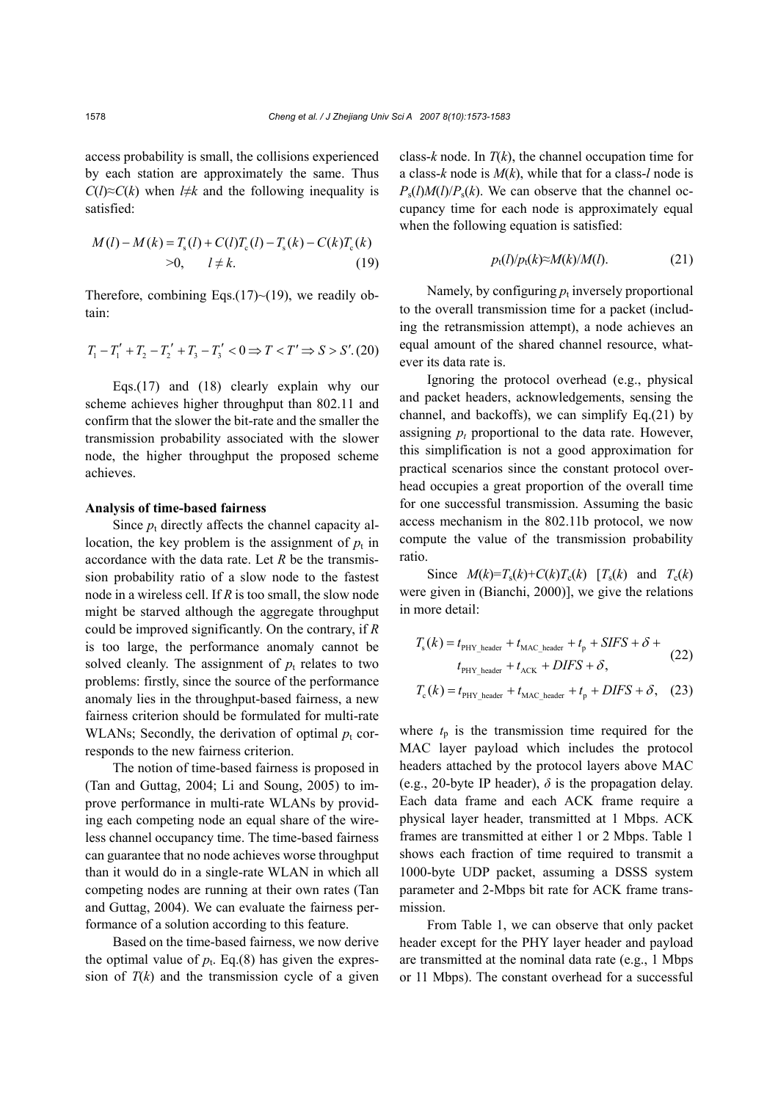access probability is small, the collisions experienced by each station are approximately the same. Thus  $C(l) \approx C(k)$  when *l*≠*k* and the following inequality is satisfied:

$$
M(l) - M(k) = T_s(l) + C(l)T_c(l) - T_s(k) - C(k)T_c(k)
$$
  
>0,  $l \neq k$ . (19)

Therefore, combining Eqs. $(17)$  ~ $(19)$ , we readily obtain:

$$
T_1 - T_1' + T_2 - T_2' + T_3 - T_3' < 0 \Rightarrow T < T' \Rightarrow S > S'. \text{(20)}
$$

Eqs.(17) and (18) clearly explain why our scheme achieves higher throughput than 802.11 and confirm that the slower the bit-rate and the smaller the transmission probability associated with the slower node, the higher throughput the proposed scheme achieves.

## **Analysis of time-based fairness**

Since  $p_t$  directly affects the channel capacity allocation, the key problem is the assignment of  $p_t$  in accordance with the data rate. Let *R* be the transmission probability ratio of a slow node to the fastest node in a wireless cell. If *R* is too small, the slow node might be starved although the aggregate throughput could be improved significantly. On the contrary, if *R* is too large, the performance anomaly cannot be solved cleanly. The assignment of  $p_t$  relates to two problems: firstly, since the source of the performance anomaly lies in the throughput-based fairness, a new fairness criterion should be formulated for multi-rate WLANs; Secondly, the derivation of optimal  $p_t$  corresponds to the new fairness criterion.

The notion of time-based fairness is proposed in (Tan and Guttag, 2004; Li and Soung, 2005) to improve performance in multi-rate WLANs by providing each competing node an equal share of the wireless channel occupancy time. The time-based fairness can guarantee that no node achieves worse throughput than it would do in a single-rate WLAN in which all competing nodes are running at their own rates (Tan and Guttag, 2004). We can evaluate the fairness performance of a solution according to this feature.

Based on the time-based fairness, we now derive the optimal value of  $p_t$ . Eq.(8) has given the expression of  $T(k)$  and the transmission cycle of a given

class- $k$  node. In  $T(k)$ , the channel occupation time for a class-*k* node is *M*(*k*), while that for a class-*l* node is  $P_s(l)M(l)/P_s(k)$ . We can observe that the channel occupancy time for each node is approximately equal when the following equation is satisfied:

$$
p_t(l)/p_t(k) \approx M(k)/M(l). \tag{21}
$$

Namely, by configuring  $p_t$  inversely proportional to the overall transmission time for a packet (including the retransmission attempt), a node achieves an equal amount of the shared channel resource, whatever its data rate is.

Ignoring the protocol overhead (e.g., physical and packet headers, acknowledgements, sensing the channel, and backoffs), we can simplify Eq.(21) by assigning  $p_t$  proportional to the data rate. However, this simplification is not a good approximation for practical scenarios since the constant protocol overhead occupies a great proportion of the overall time for one successful transmission. Assuming the basic access mechanism in the 802.11b protocol, we now compute the value of the transmission probability ratio.

Since  $M(k)=T_s(k)+C(k)T_c(k)$  [ $T_s(k)$  and  $T_c(k)$ ] were given in (Bianchi, 2000)], we give the relations in more detail:

$$
T_{\rm s}(k) = t_{\rm PHY\_header} + t_{\rm MAC\_header} + t_{\rm p} + SIFS + \delta + t_{\rm PHY\_header} + t_{\rm ACK} + DIFS + \delta,
$$
\n(22)

$$
T_{\rm c}(k) = t_{\rm PHY\_header} + t_{\rm MAC\_header} + t_{\rm p} + DIFS + \delta, \quad (23)
$$

where  $t_p$  is the transmission time required for the MAC layer payload which includes the protocol headers attached by the protocol layers above MAC (e.g., 20-byte IP header),  $\delta$  is the propagation delay. Each data frame and each ACK frame require a physical layer header, transmitted at 1 Mbps. ACK frames are transmitted at either 1 or 2 Mbps. Table 1 shows each fraction of time required to transmit a 1000-byte UDP packet, assuming a DSSS system parameter and 2-Mbps bit rate for ACK frame transmission.

From Table 1, we can observe that only packet header except for the PHY layer header and payload are transmitted at the nominal data rate (e.g., 1 Mbps or 11 Mbps). The constant overhead for a successful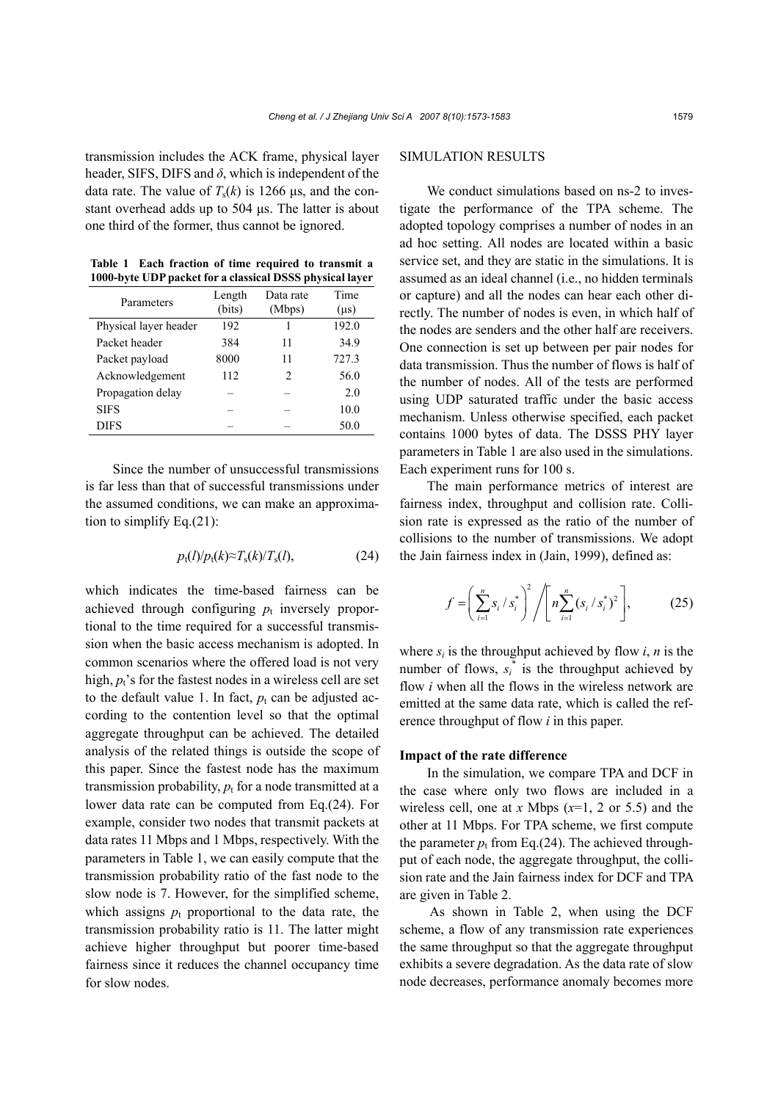transmission includes the ACK frame, physical layer header, SIFS, DIFS and  $\delta$ , which is independent of the data rate. The value of  $T_s(k)$  is 1266  $\mu$ s, and the constant overhead adds up to 504 us. The latter is about one third of the former, thus cannot be ignored.

|  |  | Table 1 Each fraction of time required to transmit a     |
|--|--|----------------------------------------------------------|
|  |  | 1000-byte UDP packet for a classical DSSS physical layer |

| Parameters            | Length<br>(bits) | Data rate<br>(Mbps)           | Time<br>$(\mu s)$ |
|-----------------------|------------------|-------------------------------|-------------------|
| Physical layer header | 192              | 1                             | 192.0             |
| Packet header         | 384              | 11                            | 34.9              |
| Packet payload        | 8000             | 11                            | 727.3             |
| Acknowledgement       | 112              | $\mathfrak{D}_{\mathfrak{p}}$ | 56.0              |
| Propagation delay     |                  |                               | 20                |
| <b>SIFS</b>           |                  |                               | 10.0              |
| DIFS                  |                  |                               | 50.0              |

Since the number of unsuccessful transmissions is far less than that of successful transmissions under the assumed conditions, we can make an approximation to simplify Eq. $(21)$ :

$$
p_t(l)/p_t(k) \approx T_s(k)/T_s(l), \qquad (24)
$$

which indicates the time-based fairness can be achieved through configuring  $p_t$  inversely proportional to the time required for a successful transmission when the basic access mechanism is adopted. In common scenarios where the offered load is not very high,  $p_t$ 's for the fastest nodes in a wireless cell are set to the default value 1. In fact,  $p_t$  can be adjusted according to the contention level so that the optimal aggregate throughput can be achieved. The detailed analysis of the related things is outside the scope of this paper. Since the fastest node has the maximum transmission probability,  $p_t$  for a node transmitted at a lower data rate can be computed from Eq.(24). For example, consider two nodes that transmit packets at data rates 11 Mbps and 1 Mbps, respectively. With the parameters in Table 1, we can easily compute that the transmission probability ratio of the fast node to the slow node is 7. However, for the simplified scheme, which assigns  $p_t$  proportional to the data rate, the transmission probability ratio is 11. The latter might achieve higher throughput but poorer time-based fairness since it reduces the channel occupancy time for slow nodes.

## SIMULATION RESULTS

We conduct simulations based on ns-2 to investigate the performance of the TPA scheme. The adopted topology comprises a number of nodes in an ad hoc setting. All nodes are located within a basic service set, and they are static in the simulations. It is assumed as an ideal channel (i.e., no hidden terminals or capture) and all the nodes can hear each other directly. The number of nodes is even, in which half of the nodes are senders and the other half are receivers. One connection is set up between per pair nodes for data transmission. Thus the number of flows is half of the number of nodes. All of the tests are performed using UDP saturated traffic under the basic access mechanism. Unless otherwise specified, each packet contains 1000 bytes of data. The DSSS PHY layer parameters in Table 1 are also used in the simulations. Each experiment runs for 100 s.

The main performance metrics of interest are fairness index, throughput and collision rate. Collision rate is expressed as the ratio of the number of collisions to the number of transmissions. We adopt the Jain fairness index in (Jain, 1999), defined as:

$$
f = \left(\sum_{i=1}^{n} s_i / s_i^*\right)^2 / \left[n \sum_{i=1}^{n} (s_i / s_i^*)^2\right],
$$
 (25)

where  $s_i$  is the throughput achieved by flow  $i$ ,  $n$  is the number of flows,  $s_i^*$  is the throughput achieved by flow *i* when all the flows in the wireless network are emitted at the same data rate, which is called the reference throughput of flow *i* in this paper.

## **Impact of the rate difference**

In the simulation, we compare TPA and DCF in the case where only two flows are included in a wireless cell, one at *x* Mbps  $(x=1, 2 \text{ or } 5.5)$  and the other at 11 Mbps. For TPA scheme, we first compute the parameter  $p_t$  from Eq.(24). The achieved throughput of each node, the aggregate throughput, the collision rate and the Jain fairness index for DCF and TPA are given in Table 2.

 As shown in Table 2, when using the DCF scheme, a flow of any transmission rate experiences the same throughput so that the aggregate throughput exhibits a severe degradation. As the data rate of slow node decreases, performance anomaly becomes more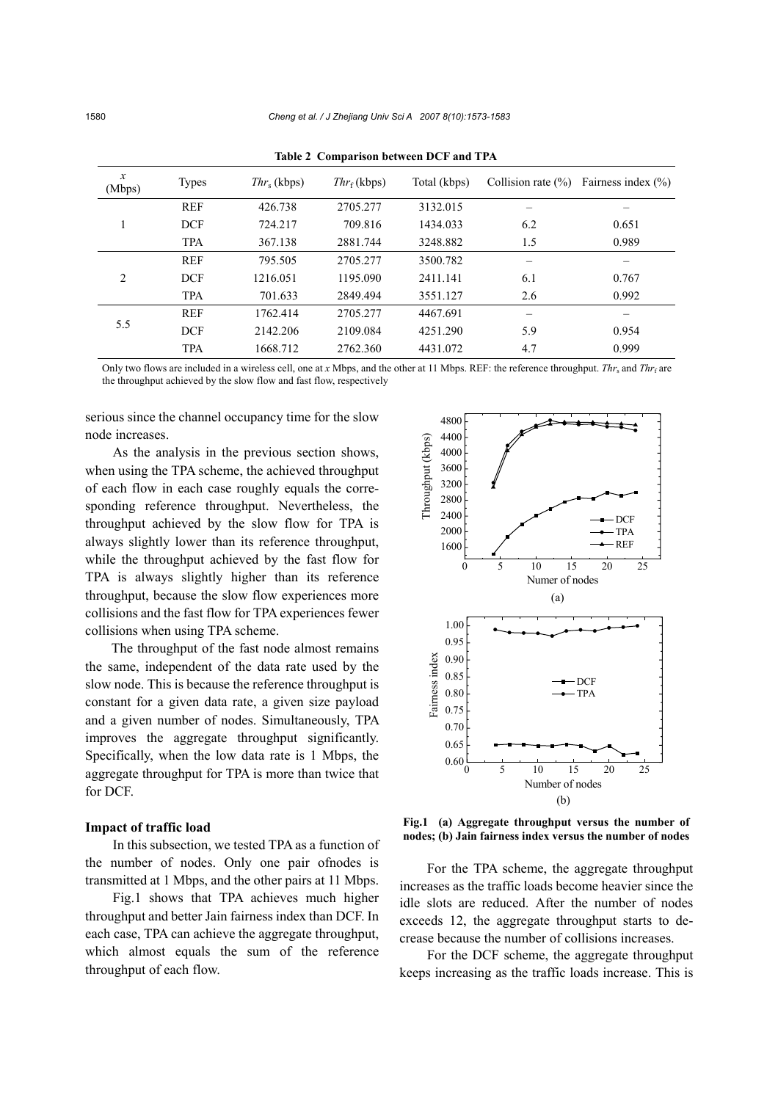| $\boldsymbol{x}$<br>(Mbps) | <b>Types</b> | $Thr_{s}$ (kbps) | $Thr_f$ (kbps) | Total (kbps) | Collision rate $(\% )$ | Fairness index $(\% )$ |
|----------------------------|--------------|------------------|----------------|--------------|------------------------|------------------------|
|                            | <b>REF</b>   | 426.738          | 2705.277       | 3132.015     |                        |                        |
|                            | <b>DCF</b>   | 724.217          | 709.816        | 1434.033     | 6.2                    | 0.651                  |
|                            | <b>TPA</b>   | 367.138          | 2881.744       | 3248.882     | 1.5                    | 0.989                  |
| 2                          | <b>REF</b>   | 795.505          | 2705.277       | 3500.782     |                        |                        |
|                            | <b>DCF</b>   | 1216.051         | 1195.090       | 2411.141     | 6.1                    | 0.767                  |
|                            | <b>TPA</b>   | 701.633          | 2849.494       | 3551.127     | 2.6                    | 0.992                  |
| 5.5                        | <b>REF</b>   | 1762.414         | 2705.277       | 4467.691     | -                      | -                      |
|                            | <b>DCF</b>   | 2142.206         | 2109.084       | 4251.290     | 5.9                    | 0.954                  |
|                            | <b>TPA</b>   | 1668.712         | 2762.360       | 4431.072     | 4.7                    | 0.999                  |

**Table 2 Comparison between DCF and TPA**

Only two flows are included in a wireless cell, one at *x* Mbps, and the other at 11 Mbps. REF: the reference throughput. *Thr*<sub>s</sub> and *Thr*<sub>f</sub> are the throughput achieved by the slow flow and fast flow, respectively

serious since the channel occupancy time for the slow node increases.

As the analysis in the previous section shows, when using the TPA scheme, the achieved throughput of each flow in each case roughly equals the corresponding reference throughput. Nevertheless, the throughput achieved by the slow flow for TPA is always slightly lower than its reference throughput, while the throughput achieved by the fast flow for TPA is always slightly higher than its reference throughput, because the slow flow experiences more collisions and the fast flow for TPA experiences fewer collisions when using TPA scheme.

The throughput of the fast node almost remains the same, independent of the data rate used by the slow node. This is because the reference throughput is constant for a given data rate, a given size payload and a given number of nodes. Simultaneously, TPA improves the aggregate throughput significantly. Specifically, when the low data rate is 1 Mbps, the aggregate throughput for TPA is more than twice that for DCF.

## **Impact of traffic load**

In this subsection, we tested TPA as a function of the number of nodes. Only one pair ofnodes is transmitted at 1 Mbps, and the other pairs at 11 Mbps.

Fig.1 shows that TPA achieves much higher throughput and better Jain fairness index than DCF. In each case, TPA can achieve the aggregate throughput, which almost equals the sum of the reference throughput of each flow.



**Fig.1 (a) Aggregate throughput versus the number of nodes; (b) Jain fairness index versus the number of nodes**

For the TPA scheme, the aggregate throughput increases as the traffic loads become heavier since the idle slots are reduced. After the number of nodes exceeds 12, the aggregate throughput starts to decrease because the number of collisions increases.

For the DCF scheme, the aggregate throughput keeps increasing as the traffic loads increase. This is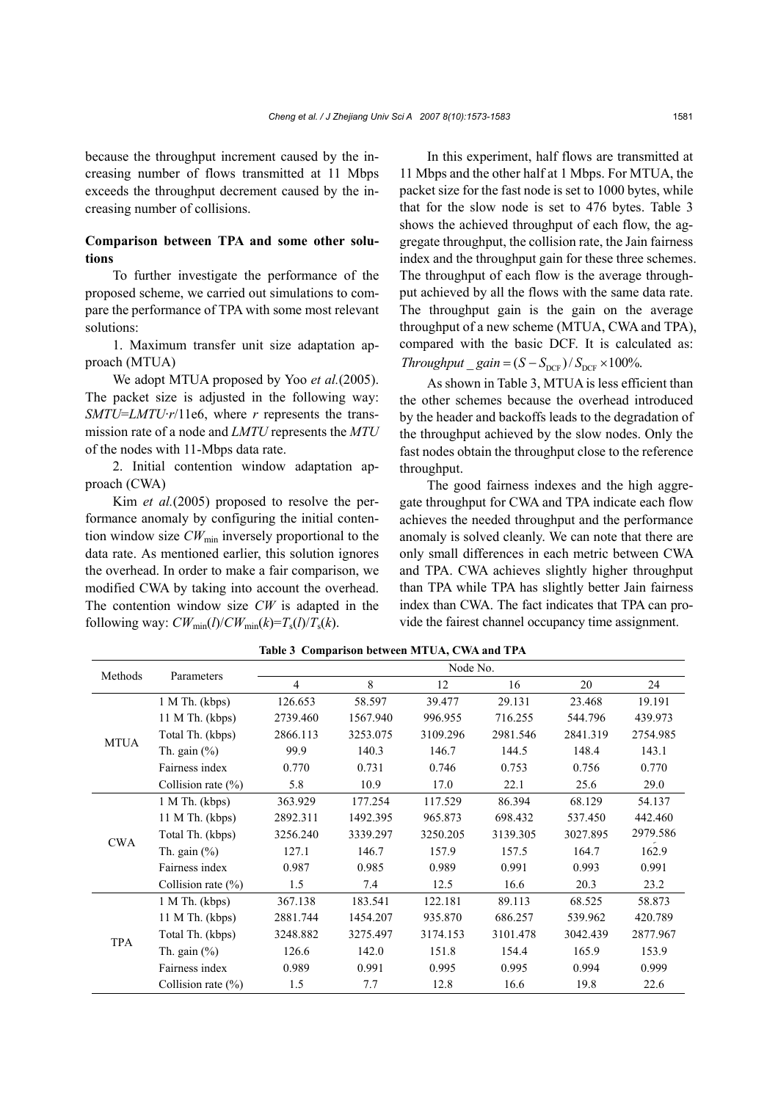because the throughput increment caused by the increasing number of flows transmitted at 11 Mbps exceeds the throughput decrement caused by the increasing number of collisions.

# **Comparison between TPA and some other solutions**

To further investigate the performance of the proposed scheme, we carried out simulations to compare the performance of TPA with some most relevant solutions:

1. Maximum transfer unit size adaptation approach (MTUA)

We adopt MTUA proposed by Yoo *et al.*(2005). The packet size is adjusted in the following way: *SMTU*=*LMTU*·*r*/11e6, where *r* represents the transmission rate of a node and *LMTU* represents the *MTU* of the nodes with 11-Mbps data rate.

2. Initial contention window adaptation approach (CWA)

Kim *et al.*(2005) proposed to resolve the performance anomaly by configuring the initial contention window size  $CW_{min}$  inversely proportional to the data rate. As mentioned earlier, this solution ignores the overhead. In order to make a fair comparison, we modified CWA by taking into account the overhead. The contention window size *CW* is adapted in the following way:  $CW_{min}(l)/CW_{min}(k)=T_s(l)/T_s(k)$ .

In this experiment, half flows are transmitted at 11 Mbps and the other half at 1 Mbps. For MTUA, the packet size for the fast node is set to 1000 bytes, while that for the slow node is set to 476 bytes. Table 3 shows the achieved throughput of each flow, the aggregate throughput, the collision rate, the Jain fairness index and the throughput gain for these three schemes. The throughput of each flow is the average throughput achieved by all the flows with the same data rate. The throughput gain is the gain on the average throughput of a new scheme (MTUA, CWA and TPA), compared with the basic DCF. It is calculated as:  $Throughout\_gain = (S - S_{\text{DCF}})/S_{\text{DCF}} \times 100\%.$ 

As shown in Table 3, MTUA is less efficient than the other schemes because the overhead introduced by the header and backoffs leads to the degradation of the throughput achieved by the slow nodes. Only the fast nodes obtain the throughput close to the reference throughput.

The good fairness indexes and the high aggregate throughput for CWA and TPA indicate each flow achieves the needed throughput and the performance anomaly is solved cleanly. We can note that there are only small differences in each metric between CWA and TPA. CWA achieves slightly higher throughput than TPA while TPA has slightly better Jain fairness index than CWA. The fact indicates that TPA can provide the fairest channel occupancy time assignment.

| Methods     | Parameters             | Node No.       |          |          |          |          |          |  |
|-------------|------------------------|----------------|----------|----------|----------|----------|----------|--|
|             |                        | $\overline{4}$ | 8        | 12       | 16       | 20       | 24       |  |
| <b>MTUA</b> | $1 M Th.$ (kbps)       | 126.653        | 58.597   | 39.477   | 29.131   | 23.468   | 19.191   |  |
|             | 11 M Th. (kbps)        | 2739.460       | 1567.940 | 996.955  | 716.255  | 544.796  | 439.973  |  |
|             | Total Th. (kbps)       | 2866.113       | 3253.075 | 3109.296 | 2981.546 | 2841.319 | 2754.985 |  |
|             | Th. gain $(\%)$        | 99.9           | 140.3    | 146.7    | 144.5    | 148.4    | 143.1    |  |
|             | Fairness index         | 0.770          | 0.731    | 0.746    | 0.753    | 0.756    | 0.770    |  |
|             | Collision rate $(\% )$ | 5.8            | 10.9     | 17.0     | 22.1     | 25.6     | 29.0     |  |
| <b>CWA</b>  | 1 M Th. (kbps)         | 363.929        | 177.254  | 117.529  | 86.394   | 68.129   | 54.137   |  |
|             | 11 M Th. (kbps)        | 2892.311       | 1492.395 | 965.873  | 698.432  | 537.450  | 442.460  |  |
|             | Total Th. (kbps)       | 3256.240       | 3339.297 | 3250.205 | 3139.305 | 3027.895 | 2979.586 |  |
|             | Th. gain $(\% )$       | 127.1          | 146.7    | 157.9    | 157.5    | 164.7    | 162.9    |  |
|             | Fairness index         | 0.987          | 0.985    | 0.989    | 0.991    | 0.993    | 0.991    |  |
|             | Collision rate $(\% )$ | 1.5            | 7.4      | 12.5     | 16.6     | 20.3     | 23.2     |  |
| <b>TPA</b>  | $1 M Th.$ (kbps)       | 367.138        | 183.541  | 122.181  | 89.113   | 68.525   | 58.873   |  |
|             | $11$ M Th. (kbps)      | 2881.744       | 1454.207 | 935.870  | 686.257  | 539.962  | 420.789  |  |
|             | Total Th. (kbps)       | 3248.882       | 3275.497 | 3174.153 | 3101.478 | 3042.439 | 2877.967 |  |
|             | Th. gain $(\%)$        | 126.6          | 142.0    | 151.8    | 154.4    | 165.9    | 153.9    |  |
|             | Fairness index         | 0.989          | 0.991    | 0.995    | 0.995    | 0.994    | 0.999    |  |
|             | Collision rate $(\% )$ | 1.5            | 7.7      | 12.8     | 16.6     | 19.8     | 22.6     |  |

**Table 3 Comparison between MTUA, CWA and TPA**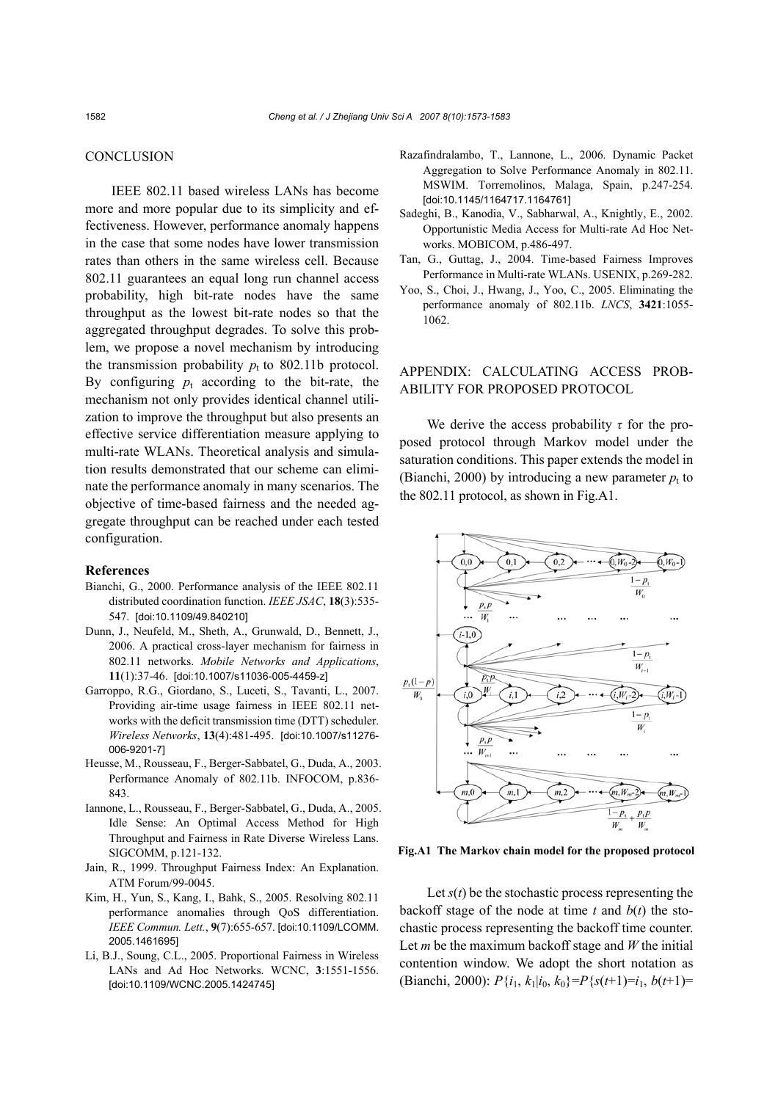## **CONCLUSION**

IEEE 802.11 based wireless LANs has become more and more popular due to its simplicity and effectiveness. However, performance anomaly happens in the case that some nodes have lower transmission rates than others in the same wireless cell. Because 802.11 guarantees an equal long run channel access probability, high bit-rate nodes have the same throughput as the lowest bit-rate nodes so that the aggregated throughput degrades. To solve this problem, we propose a novel mechanism by introducing the transmission probability  $p_t$  to 802.11b protocol. By configuring  $p_t$  according to the bit-rate, the mechanism not only provides identical channel utilization to improve the throughput but also presents an effective service differentiation measure applying to multi-rate WLANs. Theoretical analysis and simulation results demonstrated that our scheme can eliminate the performance anomaly in many scenarios. The objective of time-based fairness and the needed aggregate throughput can be reached under each tested configuration.

#### **References**

- Bianchi, G., 2000. Performance analysis of the IEEE 802.11 distributed coordination function. *IEEE JSAC*, **18**(3):535- 547. [doi:10.1109/49.840210]
- Dunn, J., Neufeld, M., Sheth, A., Grunwald, D., Bennett, J., 2006. A practical cross-layer mechanism for fairness in 802.11 networks. *Mobile Networks and Applications*, **11**(1):37-46. [doi:10.1007/s11036-005-4459-z]
- Garroppo, R.G., Giordano, S., Luceti, S., Tavanti, L., 2007. Providing air-time usage fairness in IEEE 802.11 networks with the deficit transmission time (DTT) scheduler. *Wireless Networks*, **13**(4):481-495. [doi:10.1007/s11276- 006-9201-7]
- Heusse, M., Rousseau, F., Berger-Sabbatel, G., Duda, A., 2003. Performance Anomaly of 802.11b. INFOCOM, p.836- 843.
- Iannone, L., Rousseau, F., Berger-Sabbatel, G., Duda, A., 2005. Idle Sense: An Optimal Access Method for High Throughput and Fairness in Rate Diverse Wireless Lans. SIGCOMM, p.121-132.
- Jain, R., 1999. Throughput Fairness Index: An Explanation. ATM Forum/99-0045.
- Kim, H., Yun, S., Kang, I., Bahk, S., 2005. Resolving 802.11 performance anomalies through QoS differentiation. *IEEE Commun. Lett.*, **9**(7):655-657. [doi:10.1109/LCOMM. 2005.1461695]
- Li, B.J., Soung, C.L., 2005. Proportional Fairness in Wireless LANs and Ad Hoc Networks. WCNC, **3**:1551-1556. [doi:10.1109/WCNC.2005.1424745]
- Razafindralambo, T., Lannone, L., 2006. Dynamic Packet Aggregation to Solve Performance Anomaly in 802.11. MSWIM. Torremolinos, Malaga, Spain, p.247-254. [doi:10.1145/1164717.1164761]
- Sadeghi, B., Kanodia, V., Sabharwal, A., Knightly, E., 2002. Opportunistic Media Access for Multi-rate Ad Hoc Networks. MOBICOM, p.486-497.
- Tan, G., Guttag, J., 2004. Time-based Fairness Improves Performance in Multi-rate WLANs. USENIX, p.269-282.
- Yoo, S., Choi, J., Hwang, J., Yoo, C., 2005. Eliminating the performance anomaly of 802.11b. *LNCS*, **3421**:1055- 1062.

# APPENDIX: CALCULATING ACCESS PROB-ABILITY FOR PROPOSED PROTOCOL

We derive the access probability  $\tau$  for the proposed protocol through Markov model under the saturation conditions. This paper extends the model in (Bianchi, 2000) by introducing a new parameter  $p_t$  to the 802.11 protocol, as shown in Fig.A1.



**Fig.A1 The Markov chain model for the proposed protocol** 

Let  $s(t)$  be the stochastic process representing the backoff stage of the node at time  $t$  and  $b(t)$  the stochastic process representing the backoff time counter. Let *m* be the maximum backoff stage and *W* the initial contention window. We adopt the short notation as (Bianchi, 2000):  $P\{i_1, k_1|i_0, k_0\} = P\{s(t+1)=i_1, b(t+1)=$